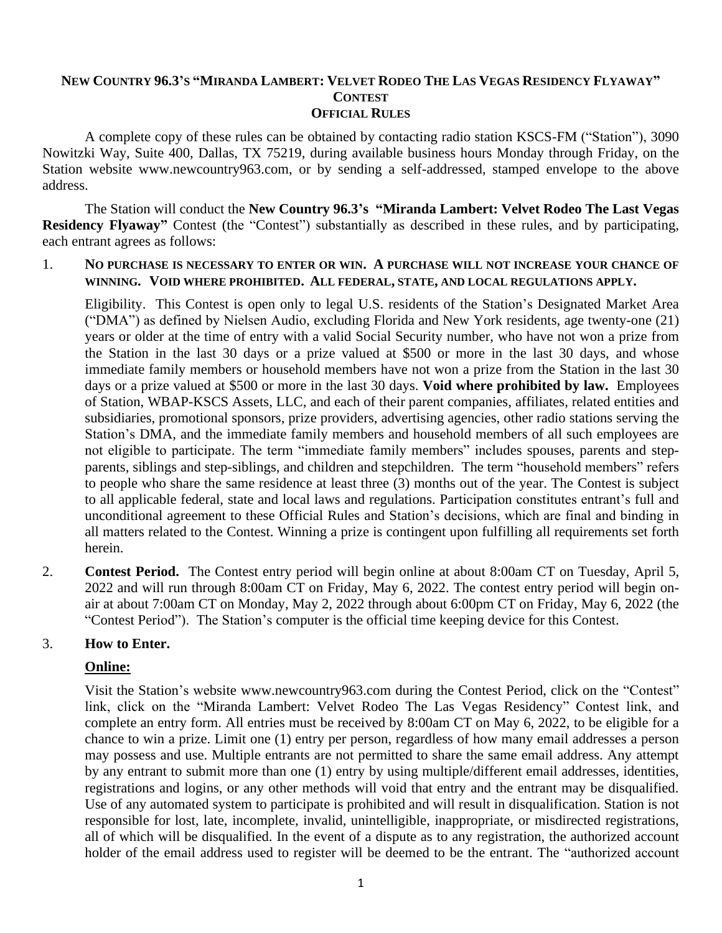#### NEW COUNTRY 96.3'S "MIRANDA LAMBERT: VELVET RODEO THE LAS VEGAS RESIDENCY FLYAWAY" **CONTEST OFFICIAL RULES**

A complete copy of these rules can be obtained by contacting radio station KSCS-FM ("Station"), 3090 Nowitzki Way, Suite 400, Dallas, TX 75219, during available business hours Monday through Friday, on the Station website www.newcountry963.com, or by sending a self-addressed, stamped envelope to the above address.

The Station will conduct the **New Country 96.3's "Miranda Lambert: Velvet Rodeo The Last Vegas Residency Flyaway"** Contest (the "Contest") substantially as described in these rules, and by participating, each entrant agrees as follows:

#### 1. **NO PURCHASE IS NECESSARY TO ENTER OR WIN. A PURCHASE WILL NOT INCREASE YOUR CHANCE OF WINNING. VOID WHERE PROHIBITED. ALL FEDERAL, STATE, AND LOCAL REGULATIONS APPLY.**

Eligibility. This Contest is open only to legal U.S. residents of the Station's Designated Market Area ("DMA") as defined by Nielsen Audio, excluding Florida and New York residents, age twenty-one (21) years or older at the time of entry with a valid Social Security number, who have not won a prize from the Station in the last 30 days or a prize valued at \$500 or more in the last 30 days, and whose immediate family members or household members have not won a prize from the Station in the last 30 days or a prize valued at \$500 or more in the last 30 days. **Void where prohibited by law.** Employees of Station, WBAP-KSCS Assets, LLC, and each of their parent companies, affiliates, related entities and subsidiaries, promotional sponsors, prize providers, advertising agencies, other radio stations serving the Station's DMA, and the immediate family members and household members of all such employees are not eligible to participate. The term "immediate family members" includes spouses, parents and stepparents, siblings and step-siblings, and children and stepchildren. The term "household members" refers to people who share the same residence at least three (3) months out of the year. The Contest is subject to all applicable federal, state and local laws and regulations. Participation constitutes entrant's full and unconditional agreement to these Official Rules and Station's decisions, which are final and binding in all matters related to the Contest. Winning a prize is contingent upon fulfilling all requirements set forth herein.

2. **Contest Period.** The Contest entry period will begin online at about 8:00am CT on Tuesday, April 5, 2022 and will run through 8:00am CT on Friday, May 6, 2022. The contest entry period will begin onair at about 7:00am CT on Monday, May 2, 2022 through about 6:00pm CT on Friday, May 6, 2022 (the "Contest Period"). The Station's computer is the official time keeping device for this Contest.

## 3. **How to Enter.**

## **Online:**

Visit the Station's website www.newcountry963.com during the Contest Period, click on the "Contest" link, click on the "Miranda Lambert: Velvet Rodeo The Las Vegas Residency" Contest link, and complete an entry form. All entries must be received by 8:00am CT on May 6, 2022, to be eligible for a chance to win a prize. Limit one (1) entry per person, regardless of how many email addresses a person may possess and use. Multiple entrants are not permitted to share the same email address. Any attempt by any entrant to submit more than one (1) entry by using multiple/different email addresses, identities, registrations and logins, or any other methods will void that entry and the entrant may be disqualified. Use of any automated system to participate is prohibited and will result in disqualification. Station is not responsible for lost, late, incomplete, invalid, unintelligible, inappropriate, or misdirected registrations, all of which will be disqualified. In the event of a dispute as to any registration, the authorized account holder of the email address used to register will be deemed to be the entrant. The "authorized account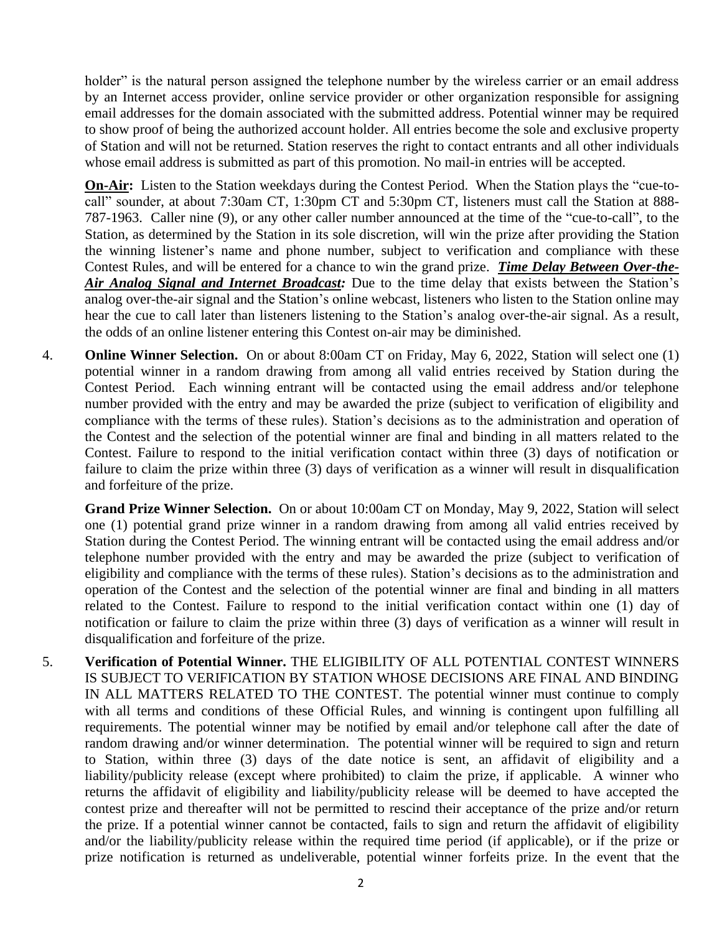holder" is the natural person assigned the telephone number by the wireless carrier or an email address by an Internet access provider, online service provider or other organization responsible for assigning email addresses for the domain associated with the submitted address. Potential winner may be required to show proof of being the authorized account holder. All entries become the sole and exclusive property of Station and will not be returned. Station reserves the right to contact entrants and all other individuals whose email address is submitted as part of this promotion. No mail-in entries will be accepted.

**On-Air:** Listen to the Station weekdays during the Contest Period. When the Station plays the "cue-tocall" sounder, at about 7:30am CT, 1:30pm CT and 5:30pm CT, listeners must call the Station at 888- 787-1963. Caller nine (9), or any other caller number announced at the time of the "cue-to-call", to the Station, as determined by the Station in its sole discretion, will win the prize after providing the Station the winning listener's name and phone number, subject to verification and compliance with these Contest Rules, and will be entered for a chance to win the grand prize. *Time Delay Between Over-the-Air Analog Signal and Internet Broadcast:* Due to the time delay that exists between the Station's analog over-the-air signal and the Station's online webcast, listeners who listen to the Station online may hear the cue to call later than listeners listening to the Station's analog over-the-air signal. As a result, the odds of an online listener entering this Contest on-air may be diminished.

4. **Online Winner Selection.** On or about 8:00am CT on Friday, May 6, 2022, Station will select one (1) potential winner in a random drawing from among all valid entries received by Station during the Contest Period. Each winning entrant will be contacted using the email address and/or telephone number provided with the entry and may be awarded the prize (subject to verification of eligibility and compliance with the terms of these rules). Station's decisions as to the administration and operation of the Contest and the selection of the potential winner are final and binding in all matters related to the Contest. Failure to respond to the initial verification contact within three (3) days of notification or failure to claim the prize within three (3) days of verification as a winner will result in disqualification and forfeiture of the prize.

**Grand Prize Winner Selection.** On or about 10:00am CT on Monday, May 9, 2022, Station will select one (1) potential grand prize winner in a random drawing from among all valid entries received by Station during the Contest Period. The winning entrant will be contacted using the email address and/or telephone number provided with the entry and may be awarded the prize (subject to verification of eligibility and compliance with the terms of these rules). Station's decisions as to the administration and operation of the Contest and the selection of the potential winner are final and binding in all matters related to the Contest. Failure to respond to the initial verification contact within one (1) day of notification or failure to claim the prize within three (3) days of verification as a winner will result in disqualification and forfeiture of the prize.

5. **Verification of Potential Winner.** THE ELIGIBILITY OF ALL POTENTIAL CONTEST WINNERS IS SUBJECT TO VERIFICATION BY STATION WHOSE DECISIONS ARE FINAL AND BINDING IN ALL MATTERS RELATED TO THE CONTEST. The potential winner must continue to comply with all terms and conditions of these Official Rules, and winning is contingent upon fulfilling all requirements. The potential winner may be notified by email and/or telephone call after the date of random drawing and/or winner determination. The potential winner will be required to sign and return to Station, within three (3) days of the date notice is sent, an affidavit of eligibility and a liability/publicity release (except where prohibited) to claim the prize, if applicable. A winner who returns the affidavit of eligibility and liability/publicity release will be deemed to have accepted the contest prize and thereafter will not be permitted to rescind their acceptance of the prize and/or return the prize. If a potential winner cannot be contacted, fails to sign and return the affidavit of eligibility and/or the liability/publicity release within the required time period (if applicable), or if the prize or prize notification is returned as undeliverable, potential winner forfeits prize. In the event that the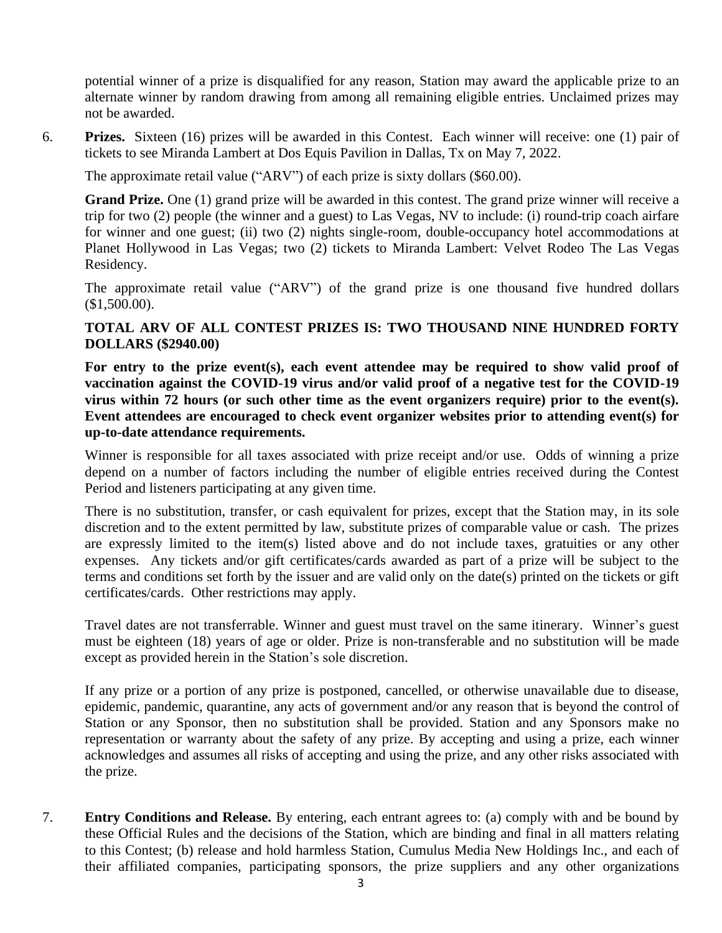potential winner of a prize is disqualified for any reason, Station may award the applicable prize to an alternate winner by random drawing from among all remaining eligible entries. Unclaimed prizes may not be awarded.

6. **Prizes.** Sixteen (16) prizes will be awarded in this Contest. Each winner will receive: one (1) pair of tickets to see Miranda Lambert at Dos Equis Pavilion in Dallas, Tx on May 7, 2022.

The approximate retail value ("ARV") of each prize is sixty dollars (\$60.00).

**Grand Prize.** One (1) grand prize will be awarded in this contest. The grand prize winner will receive a trip for two (2) people (the winner and a guest) to Las Vegas, NV to include: (i) round-trip coach airfare for winner and one guest; (ii) two (2) nights single-room, double-occupancy hotel accommodations at Planet Hollywood in Las Vegas; two (2) tickets to Miranda Lambert: Velvet Rodeo The Las Vegas Residency.

The approximate retail value ("ARV") of the grand prize is one thousand five hundred dollars (\$1,500.00).

## **TOTAL ARV OF ALL CONTEST PRIZES IS: TWO THOUSAND NINE HUNDRED FORTY DOLLARS (\$2940.00)**

**For entry to the prize event(s), each event attendee may be required to show valid proof of vaccination against the COVID-19 virus and/or valid proof of a negative test for the COVID-19 virus within 72 hours (or such other time as the event organizers require) prior to the event(s). Event attendees are encouraged to check event organizer websites prior to attending event(s) for up-to-date attendance requirements.**

Winner is responsible for all taxes associated with prize receipt and/or use. Odds of winning a prize depend on a number of factors including the number of eligible entries received during the Contest Period and listeners participating at any given time.

There is no substitution, transfer, or cash equivalent for prizes, except that the Station may, in its sole discretion and to the extent permitted by law, substitute prizes of comparable value or cash. The prizes are expressly limited to the item(s) listed above and do not include taxes, gratuities or any other expenses. Any tickets and/or gift certificates/cards awarded as part of a prize will be subject to the terms and conditions set forth by the issuer and are valid only on the date(s) printed on the tickets or gift certificates/cards. Other restrictions may apply.

Travel dates are not transferrable. Winner and guest must travel on the same itinerary.Winner's guest must be eighteen (18) years of age or older. Prize is non-transferable and no substitution will be made except as provided herein in the Station's sole discretion.

If any prize or a portion of any prize is postponed, cancelled, or otherwise unavailable due to disease, epidemic, pandemic, quarantine, any acts of government and/or any reason that is beyond the control of Station or any Sponsor, then no substitution shall be provided. Station and any Sponsors make no representation or warranty about the safety of any prize. By accepting and using a prize, each winner acknowledges and assumes all risks of accepting and using the prize, and any other risks associated with the prize.

7. **Entry Conditions and Release.** By entering, each entrant agrees to: (a) comply with and be bound by these Official Rules and the decisions of the Station, which are binding and final in all matters relating to this Contest; (b) release and hold harmless Station, Cumulus Media New Holdings Inc., and each of their affiliated companies, participating sponsors, the prize suppliers and any other organizations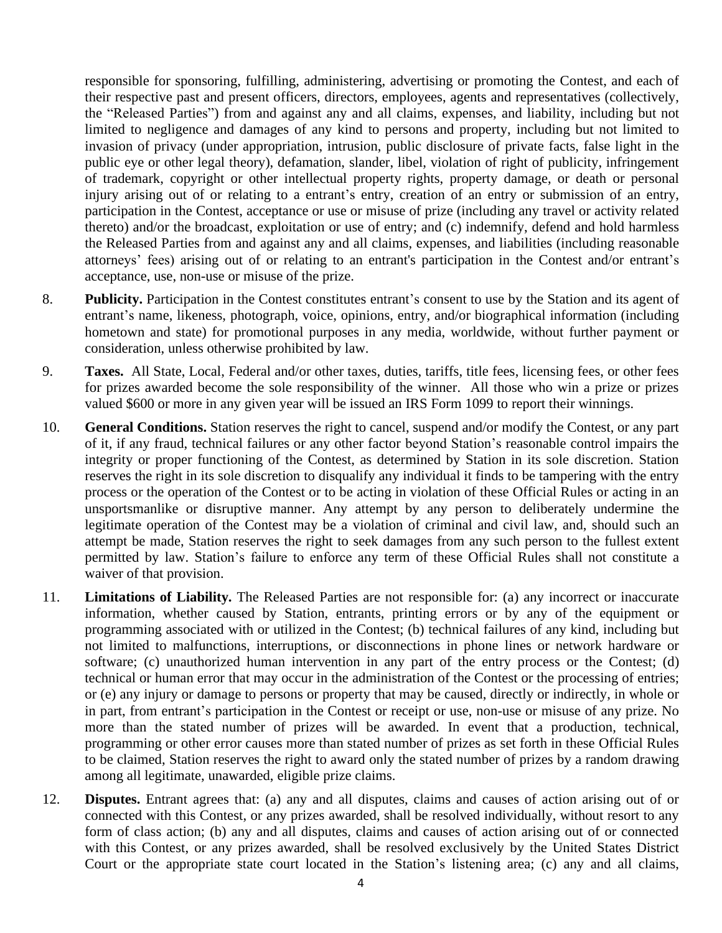responsible for sponsoring, fulfilling, administering, advertising or promoting the Contest, and each of their respective past and present officers, directors, employees, agents and representatives (collectively, the "Released Parties") from and against any and all claims, expenses, and liability, including but not limited to negligence and damages of any kind to persons and property, including but not limited to invasion of privacy (under appropriation, intrusion, public disclosure of private facts, false light in the public eye or other legal theory), defamation, slander, libel, violation of right of publicity, infringement of trademark, copyright or other intellectual property rights, property damage, or death or personal injury arising out of or relating to a entrant's entry, creation of an entry or submission of an entry, participation in the Contest, acceptance or use or misuse of prize (including any travel or activity related thereto) and/or the broadcast, exploitation or use of entry; and (c) indemnify, defend and hold harmless the Released Parties from and against any and all claims, expenses, and liabilities (including reasonable attorneys' fees) arising out of or relating to an entrant's participation in the Contest and/or entrant's acceptance, use, non-use or misuse of the prize.

- 8. **Publicity.** Participation in the Contest constitutes entrant's consent to use by the Station and its agent of entrant's name, likeness, photograph, voice, opinions, entry, and/or biographical information (including hometown and state) for promotional purposes in any media, worldwide, without further payment or consideration, unless otherwise prohibited by law.
- 9. **Taxes.** All State, Local, Federal and/or other taxes, duties, tariffs, title fees, licensing fees, or other fees for prizes awarded become the sole responsibility of the winner. All those who win a prize or prizes valued \$600 or more in any given year will be issued an IRS Form 1099 to report their winnings.
- 10. **General Conditions.** Station reserves the right to cancel, suspend and/or modify the Contest, or any part of it, if any fraud, technical failures or any other factor beyond Station's reasonable control impairs the integrity or proper functioning of the Contest, as determined by Station in its sole discretion. Station reserves the right in its sole discretion to disqualify any individual it finds to be tampering with the entry process or the operation of the Contest or to be acting in violation of these Official Rules or acting in an unsportsmanlike or disruptive manner. Any attempt by any person to deliberately undermine the legitimate operation of the Contest may be a violation of criminal and civil law, and, should such an attempt be made, Station reserves the right to seek damages from any such person to the fullest extent permitted by law. Station's failure to enforce any term of these Official Rules shall not constitute a waiver of that provision.
- 11. **Limitations of Liability.** The Released Parties are not responsible for: (a) any incorrect or inaccurate information, whether caused by Station, entrants, printing errors or by any of the equipment or programming associated with or utilized in the Contest; (b) technical failures of any kind, including but not limited to malfunctions, interruptions, or disconnections in phone lines or network hardware or software; (c) unauthorized human intervention in any part of the entry process or the Contest; (d) technical or human error that may occur in the administration of the Contest or the processing of entries; or (e) any injury or damage to persons or property that may be caused, directly or indirectly, in whole or in part, from entrant's participation in the Contest or receipt or use, non-use or misuse of any prize. No more than the stated number of prizes will be awarded. In event that a production, technical, programming or other error causes more than stated number of prizes as set forth in these Official Rules to be claimed, Station reserves the right to award only the stated number of prizes by a random drawing among all legitimate, unawarded, eligible prize claims.
- 12. **Disputes.** Entrant agrees that: (a) any and all disputes, claims and causes of action arising out of or connected with this Contest, or any prizes awarded, shall be resolved individually, without resort to any form of class action; (b) any and all disputes, claims and causes of action arising out of or connected with this Contest, or any prizes awarded, shall be resolved exclusively by the United States District Court or the appropriate state court located in the Station's listening area; (c) any and all claims,